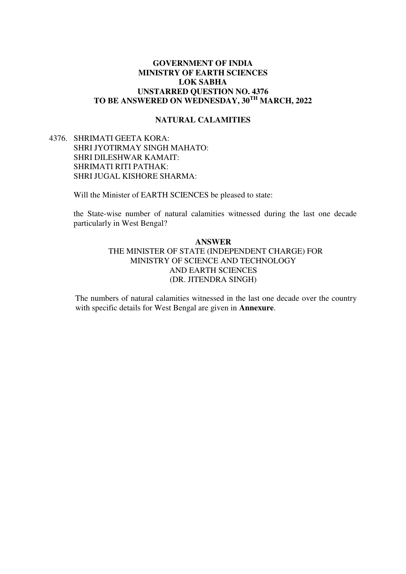## **GOVERNMENT OF INDIA MINISTRY OF EARTH SCIENCES LOK SABHA UNSTARRED QUESTION NO. 4376 TO BE ANSWERED ON WEDNESDAY, 30TH MARCH, 2022**

### **NATURAL CALAMITIES**

# 4376. SHRIMATI GEETA KORA: SHRI JYOTIRMAY SINGH MAHATO: SHRI DILESHWAR KAMAIT: SHRIMATI RITI PATHAK: SHRI JUGAL KISHORE SHARMA:

Will the Minister of EARTH SCIENCES be pleased to state:

the State-wise number of natural calamities witnessed during the last one decade particularly in West Bengal?

## **ANSWER**  THE MINISTER OF STATE (INDEPENDENT CHARGE) FOR MINISTRY OF SCIENCE AND TECHNOLOGY AND EARTH SCIENCES (DR. JITENDRA SINGH)

The numbers of natural calamities witnessed in the last one decade over the country with specific details for West Bengal are given in **Annexure**.